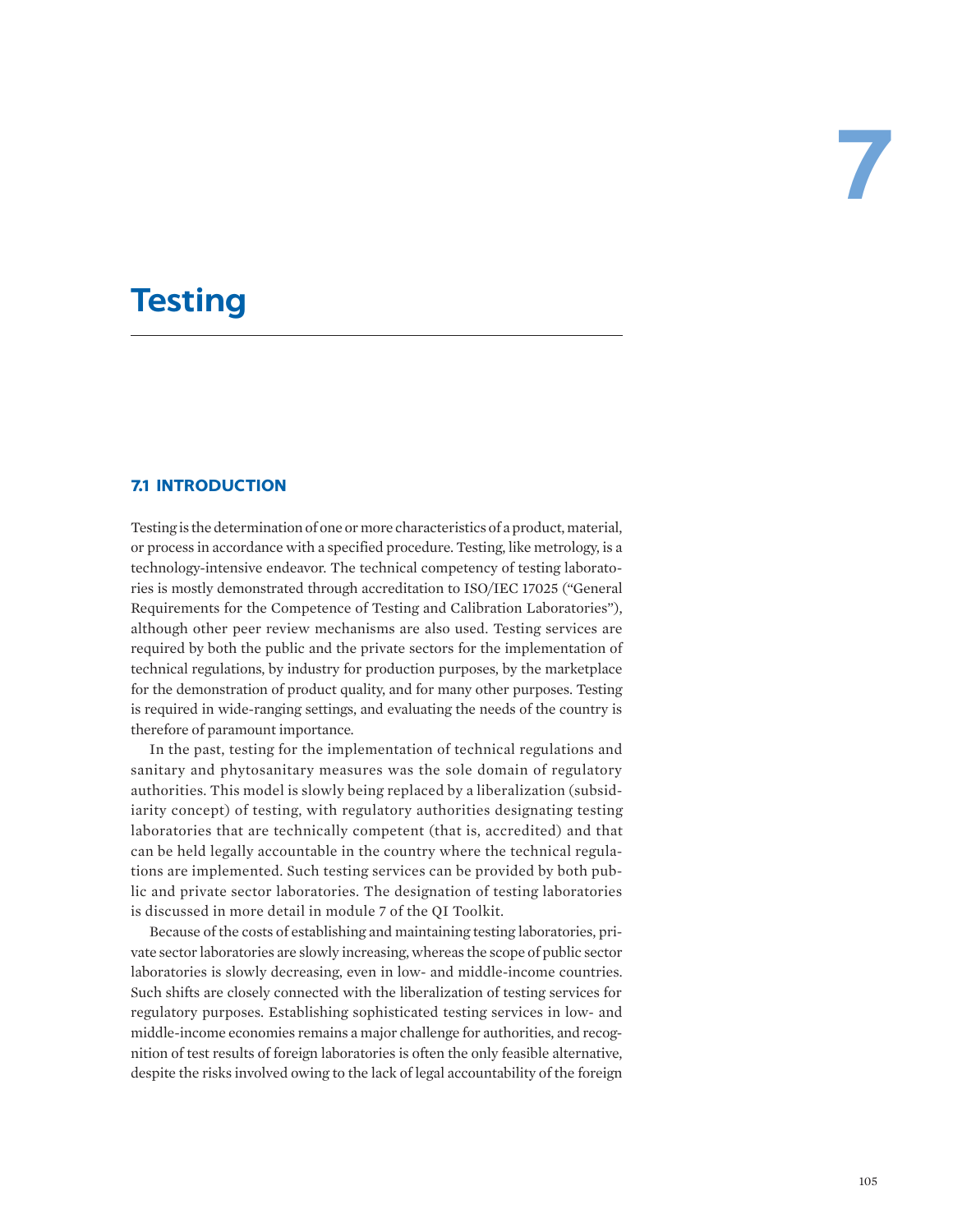# **Testing**

# **7.1 INTRODUCTION**

Testing is the determination of one or more characteristics of a product, material, or process in accordance with a specified procedure. Testing, like metrology, is a technology-intensive endeavor. The technical competency of testing laboratories is mostly demonstrated through accreditation to ISO/IEC 17025 ("General Requirements for the Competence of Testing and Calibration Laboratories"), although other peer review mechanisms are also used. Testing services are required by both the public and the private sectors for the implementation of technical regulations, by industry for production purposes, by the marketplace for the demonstration of product quality, and for many other purposes. Testing is required in wide-ranging settings, and evaluating the needs of the country is therefore of paramount importance.

In the past, testing for the implementation of technical regulations and sanitary and phytosanitary measures was the sole domain of regulatory authorities. This model is slowly being replaced by a liberalization (subsidiarity concept) of testing, with regulatory authorities designating testing laboratories that are technically competent (that is, accredited) and that can be held legally accountable in the country where the technical regulations are implemented. Such testing services can be provided by both public and private sector laboratories. The designation of testing laboratories is discussed in more detail in module 7 of the QI Toolkit.

Because of the costs of establishing and maintaining testing laboratories, private sector laboratories are slowly increasing, whereas the scope of public sector laboratories is slowly decreasing, even in low- and middle-income countries. Such shifts are closely connected with the liberalization of testing services for regulatory purposes. Establishing sophisticated testing services in low- and middle-income economies remains a major challenge for authorities, and recognition of test results of foreign laboratories is often the only feasible alternative, despite the risks involved owing to the lack of legal accountability of the foreign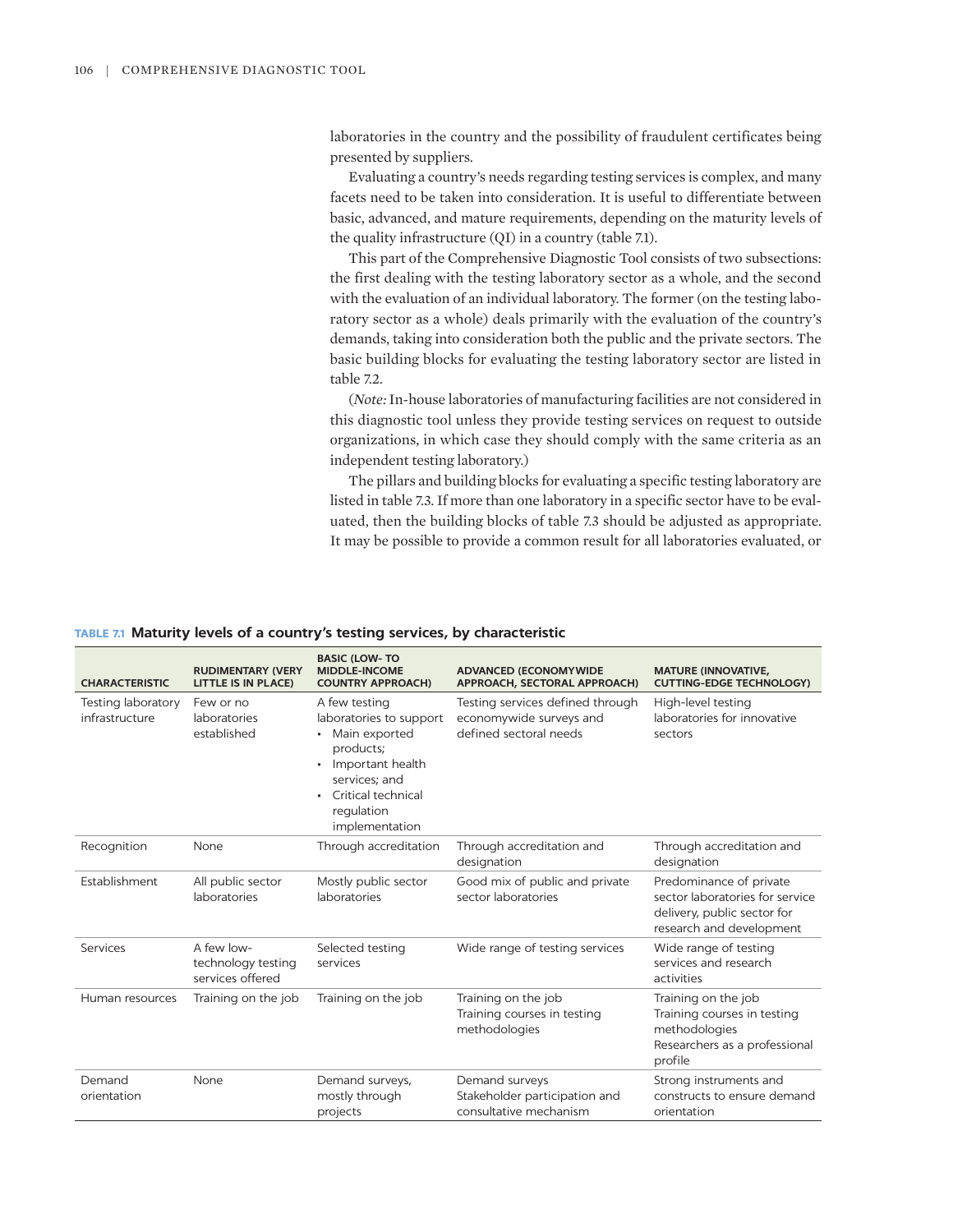laboratories in the country and the possibility of fraudulent certificates being presented by suppliers.

Evaluating a country's needs regarding testing services is complex, and many facets need to be taken into consideration. It is useful to differentiate between basic, advanced, and mature requirements, depending on the maturity levels of the quality infrastructure (QI) in a country (table 7.1).

This part of the Comprehensive Diagnostic Tool consists of two subsections: the first dealing with the testing laboratory sector as a whole, and the second with the evaluation of an individual laboratory. The former (on the testing laboratory sector as a whole) deals primarily with the evaluation of the country's demands, taking into consideration both the public and the private sectors. The basic building blocks for evaluating the testing laboratory sector are listed in table 7.2.

(*Note:* In-house laboratories of manufacturing facilities are not considered in this diagnostic tool unless they provide testing services on request to outside organizations, in which case they should comply with the same criteria as an independent testing laboratory.)

The pillars and building blocks for evaluating a specific testing laboratory are listed in table 7.3. If more than one laboratory in a specific sector have to be evaluated, then the building blocks of table 7.3 should be adjusted as appropriate. It may be possible to provide a common result for all laboratories evaluated, or

#### **TABLE 7.1 Maturity levels of a country's testing services, by characteristic**

| <b>CHARACTERISTIC</b>                | <b>RUDIMENTARY (VERY</b><br><b>LITTLE IS IN PLACE)</b> | <b>BASIC (LOW-TO</b><br><b>MIDDLE-INCOME</b><br><b>COUNTRY APPROACH)</b>                                                                                                                    | <b>ADVANCED (ECONOMYWIDE)</b><br>APPROACH, SECTORAL APPROACH)                         | <b>MATURE (INNOVATIVE,</b><br><b>CUTTING-EDGE TECHNOLOGY)</b>                                                         |
|--------------------------------------|--------------------------------------------------------|---------------------------------------------------------------------------------------------------------------------------------------------------------------------------------------------|---------------------------------------------------------------------------------------|-----------------------------------------------------------------------------------------------------------------------|
| Testing laboratory<br>infrastructure | Few or no<br>laboratories<br>established               | A few testing<br>laboratories to support<br>Main exported<br>products;<br>Important health<br>$\bullet$<br>services: and<br>Critical technical<br>$\bullet$<br>regulation<br>implementation | Testing services defined through<br>economywide surveys and<br>defined sectoral needs | High-level testing<br>laboratories for innovative<br>sectors                                                          |
| Recognition                          | None                                                   | Through accreditation                                                                                                                                                                       | Through accreditation and<br>designation                                              | Through accreditation and<br>designation                                                                              |
| Establishment                        | All public sector<br>laboratories                      | Mostly public sector<br>laboratories                                                                                                                                                        | Good mix of public and private<br>sector laboratories                                 | Predominance of private<br>sector laboratories for service<br>delivery, public sector for<br>research and development |
| Services                             | A few low-<br>technology testing<br>services offered   | Selected testing<br>services                                                                                                                                                                | Wide range of testing services                                                        | Wide range of testing<br>services and research<br>activities                                                          |
| Human resources                      | Training on the job                                    | Training on the job                                                                                                                                                                         | Training on the job<br>Training courses in testing<br>methodologies                   | Training on the job<br>Training courses in testing<br>methodologies<br>Researchers as a professional<br>profile       |
| Demand<br>orientation                | None                                                   | Demand surveys,<br>mostly through<br>projects                                                                                                                                               | Demand surveys<br>Stakeholder participation and<br>consultative mechanism             | Strong instruments and<br>constructs to ensure demand<br>orientation                                                  |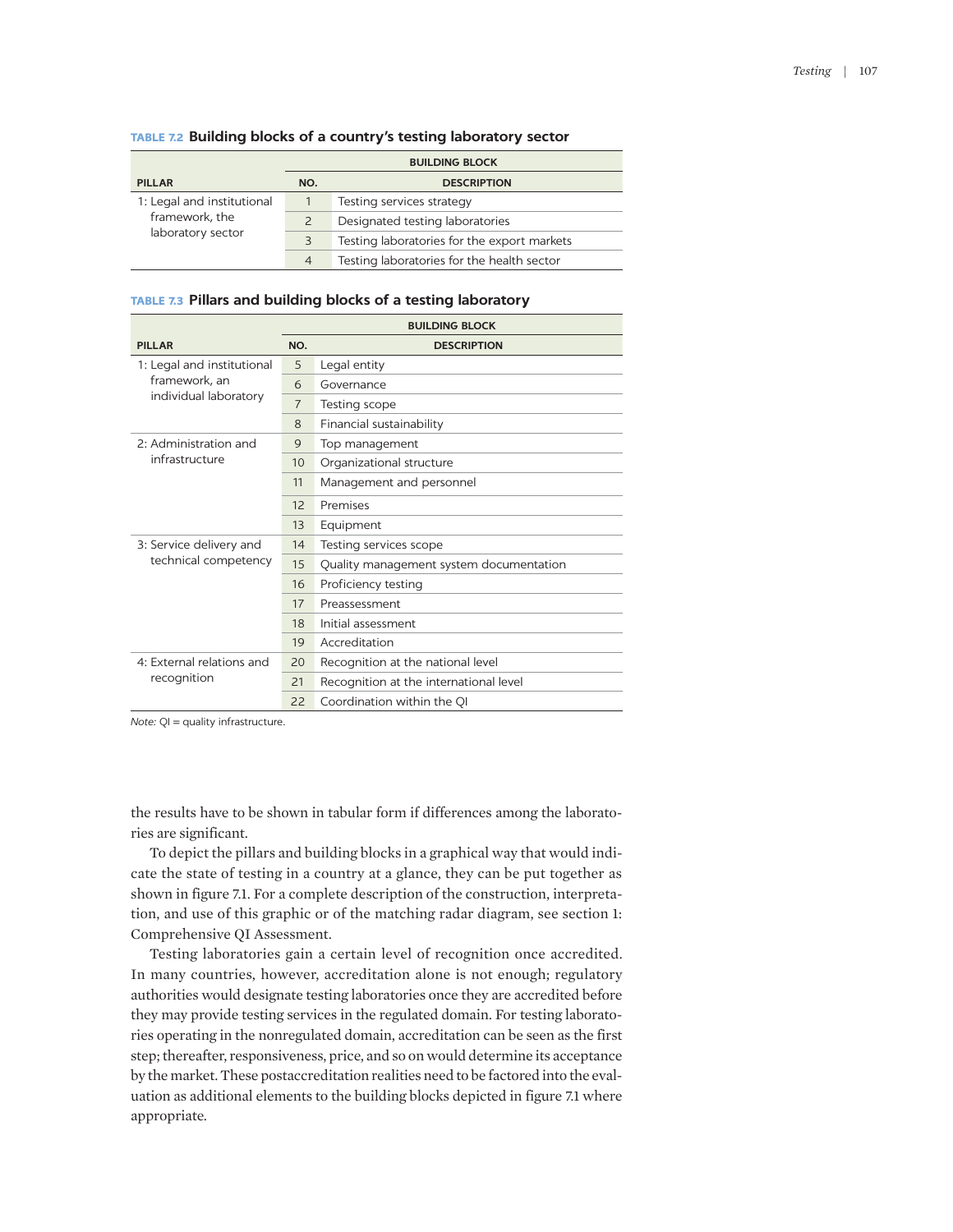|                            | <b>BUILDING BLOCK</b> |                                             |  |
|----------------------------|-----------------------|---------------------------------------------|--|
| <b>PILLAR</b>              | NO.                   | <b>DESCRIPTION</b>                          |  |
| 1: Legal and institutional |                       | Testing services strategy                   |  |
| framework, the             | $\overline{2}$        | Designated testing laboratories             |  |
| laboratory sector          | 3                     | Testing laboratories for the export markets |  |
|                            | $\overline{4}$        | Testing laboratories for the health sector  |  |

## **TABLE 7.2 Building blocks of a country's testing laboratory sector**

## **TABLE 7.3 Pillars and building blocks of a testing laboratory**

|                            | <b>BUILDING BLOCK</b> |                                         |  |
|----------------------------|-----------------------|-----------------------------------------|--|
| <b>PILLAR</b>              | NO.                   | <b>DESCRIPTION</b>                      |  |
| 1: Legal and institutional | 5                     | Legal entity                            |  |
| framework, an              | 6                     | Governance                              |  |
| individual laboratory      | $\overline{7}$        | Testing scope                           |  |
|                            | 8                     | Financial sustainability                |  |
| 2: Administration and      | 9                     | Top management                          |  |
| infrastructure             | 10                    | Organizational structure                |  |
|                            | 11                    | Management and personnel                |  |
|                            | 12                    | Premises                                |  |
|                            | 13                    | Equipment                               |  |
| 3: Service delivery and    | 14                    | Testing services scope                  |  |
| technical competency       | 15                    | Quality management system documentation |  |
|                            | 16                    | Proficiency testing                     |  |
|                            | 17                    | Preassessment                           |  |
|                            | 18                    | Initial assessment                      |  |
|                            | 19                    | Accreditation                           |  |
| 4: External relations and  | 20                    | Recognition at the national level       |  |
| recognition                | 21                    | Recognition at the international level  |  |
|                            | 22                    | Coordination within the QI              |  |

*Note:* QI = quality infrastructure.

the results have to be shown in tabular form if differences among the laboratories are significant.

To depict the pillars and building blocks in a graphical way that would indicate the state of testing in a country at a glance, they can be put together as shown in figure 7.1. For a complete description of the construction, interpretation, and use of this graphic or of the matching radar diagram, see section 1: Comprehensive QI Assessment.

Testing laboratories gain a certain level of recognition once accredited. In many countries, however, accreditation alone is not enough; regulatory authorities would designate testing laboratories once they are accredited before they may provide testing services in the regulated domain. For testing laboratories operating in the nonregulated domain, accreditation can be seen as the first step; thereafter, responsiveness, price, and so on would determine its acceptance by the market. These postaccreditation realities need to be factored into the evaluation as additional elements to the building blocks depicted in figure 7.1 where appropriate.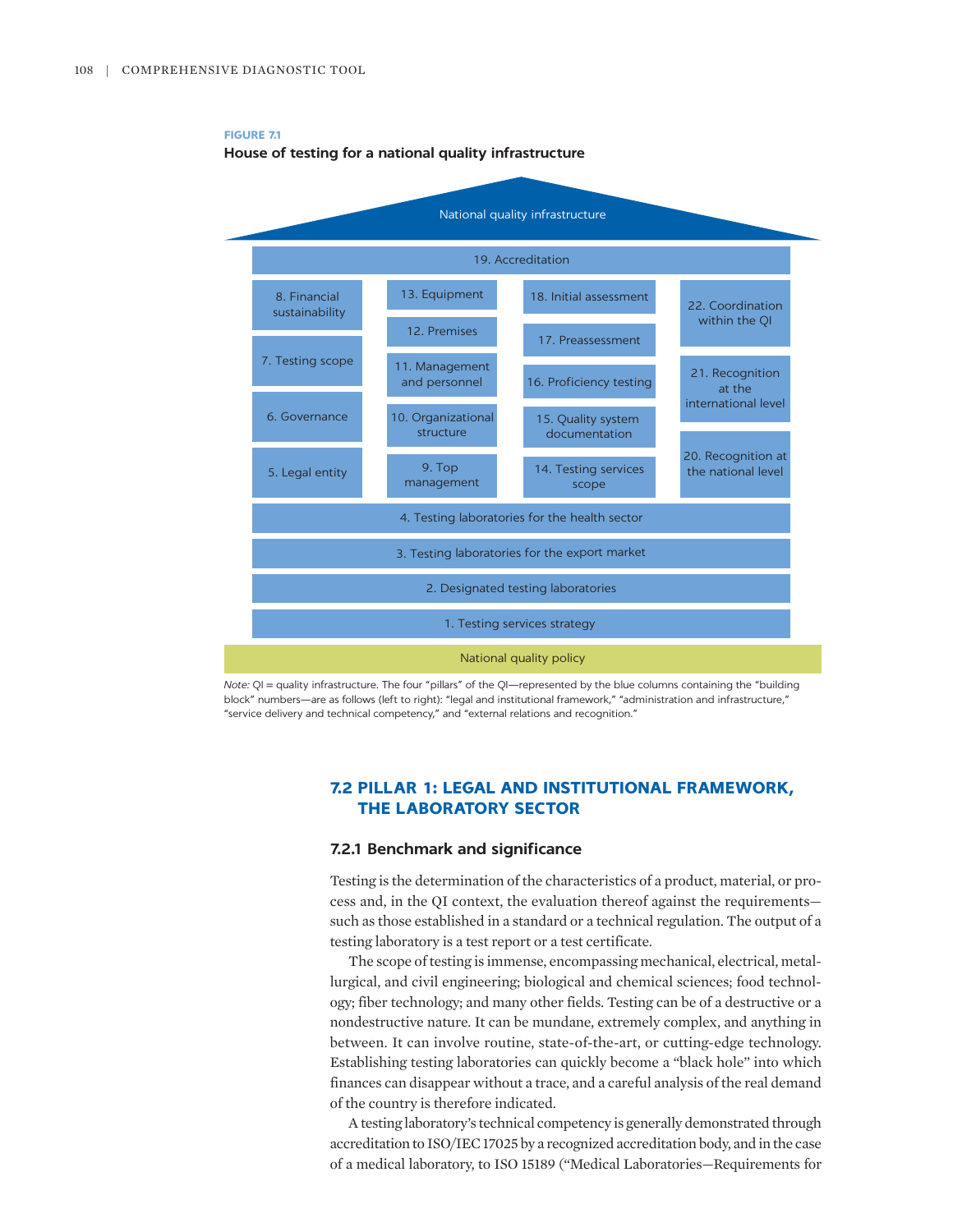

*Note:* QI = quality infrastructure. The four "pillars" of the QI—represented by the blue columns containing the "building block" numbers—are as follows (left to right): "legal and institutional framework," "administration and infrastructure," "service delivery and technical competency," and "external relations and recognition."

# **7.2 PILLAR 1: LEGAL AND INSTITUTIONAL FRAMEWORK, THE LABORATORY SECTOR**

#### **7.2.1 Benchmark and significance**

Testing is the determination of the characteristics of a product, material, or process and, in the QI context, the evaluation thereof against the requirements such as those established in a standard or a technical regulation. The output of a testing laboratory is a test report or a test certificate.

The scope of testing is immense, encompassing mechanical, electrical, metallurgical, and civil engineering; biological and chemical sciences; food technology; fiber technology; and many other fields. Testing can be of a destructive or a nondestructive nature. It can be mundane, extremely complex, and anything in between. It can involve routine, state-of-the-art, or cutting-edge technology. Establishing testing laboratories can quickly become a "black hole" into which finances can disappear without a trace, and a careful analysis of the real demand of the country is therefore indicated.

A testing laboratory's technical competency is generally demonstrated through accreditation to ISO/IEC 17025 by a recognized accreditation body, and in the case of a medical laboratory, to ISO 15189 ("Medical Laboratories—Requirements for

**FIGURE 7.1 House of testing for a national quality infrastructure**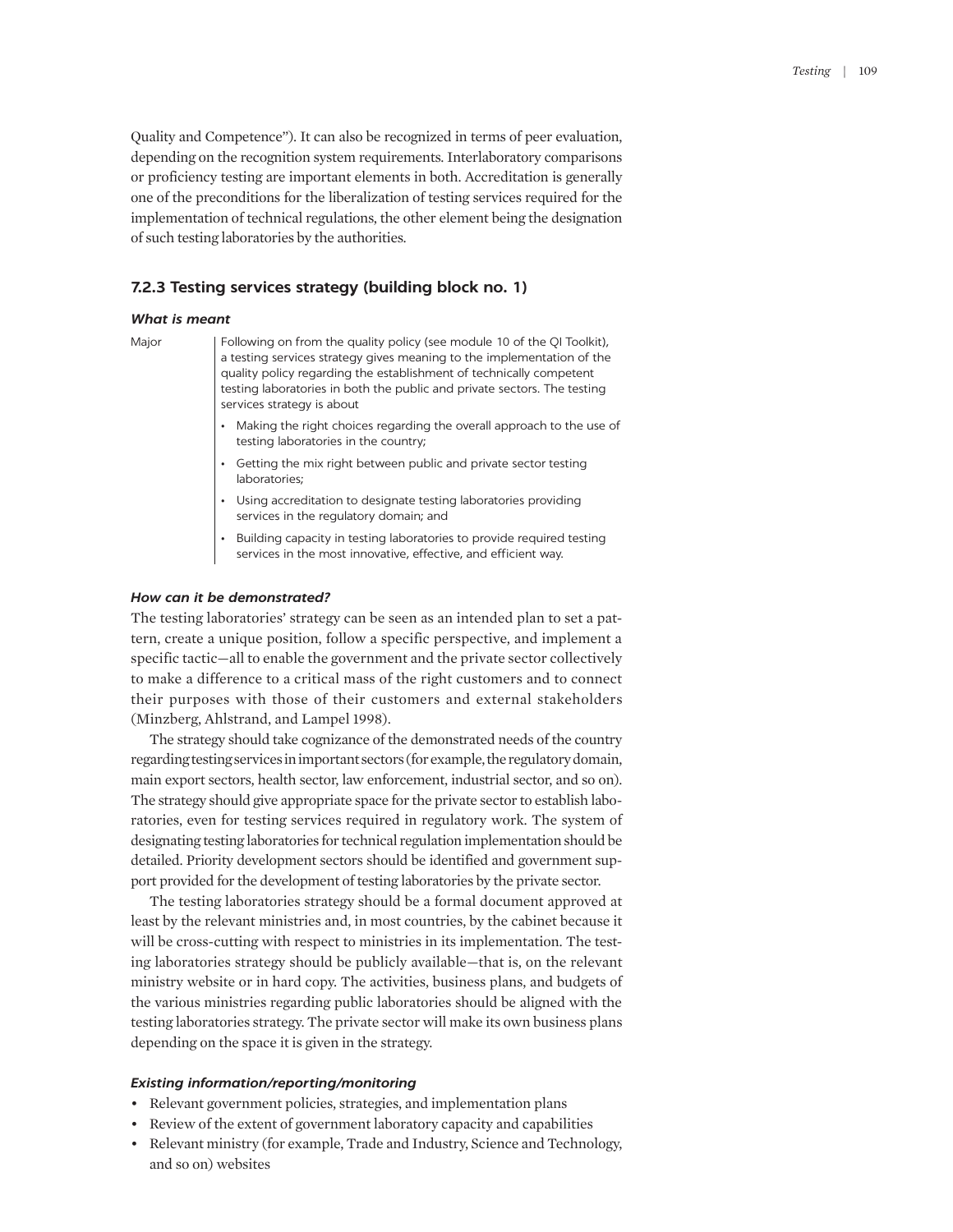Quality and Competence"). It can also be recognized in terms of peer evaluation, depending on the recognition system requirements. Interlaboratory comparisons or proficiency testing are important elements in both. Accreditation is generally one of the preconditions for the liberalization of testing services required for the implementation of technical regulations, the other element being the designation of such testing laboratories by the authorities.

## **7.2.3 Testing services strategy (building block no. 1)**

#### *What is meant*

Major | Following on from the quality policy (see module 10 of the QI Toolkit), a testing services strategy gives meaning to the implementation of the quality policy regarding the establishment of technically competent testing laboratories in both the public and private sectors. The testing services strategy is about

- Making the right choices regarding the overall approach to the use of testing laboratories in the country;
- Getting the mix right between public and private sector testing laboratories;
- Using accreditation to designate testing laboratories providing services in the regulatory domain; and
- Building capacity in testing laboratories to provide required testing services in the most innovative, effective, and efficient way.

#### *How can it be demonstrated?*

The testing laboratories' strategy can be seen as an intended plan to set a pattern, create a unique position, follow a specific perspective, and implement a specific tactic—all to enable the government and the private sector collectively to make a difference to a critical mass of the right customers and to connect their purposes with those of their customers and external stakeholders (Minzberg, Ahlstrand, and Lampel 1998).

The strategy should take cognizance of the demonstrated needs of the country regarding testing services in important sectors (for example, the regulatory domain, main export sectors, health sector, law enforcement, industrial sector, and so on). The strategy should give appropriate space for the private sector to establish laboratories, even for testing services required in regulatory work. The system of designating testing laboratories for technical regulation implementation should be detailed. Priority development sectors should be identified and government support provided for the development of testing laboratories by the private sector.

The testing laboratories strategy should be a formal document approved at least by the relevant ministries and, in most countries, by the cabinet because it will be cross-cutting with respect to ministries in its implementation. The testing laboratories strategy should be publicly available—that is, on the relevant ministry website or in hard copy. The activities, business plans, and budgets of the various ministries regarding public laboratories should be aligned with the testing laboratories strategy. The private sector will make its own business plans depending on the space it is given in the strategy.

#### *Existing information/reporting/monitoring*

- Relevant government policies, strategies, and implementation plans
- Review of the extent of government laboratory capacity and capabilities
- Relevant ministry (for example, Trade and Industry, Science and Technology, and so on) websites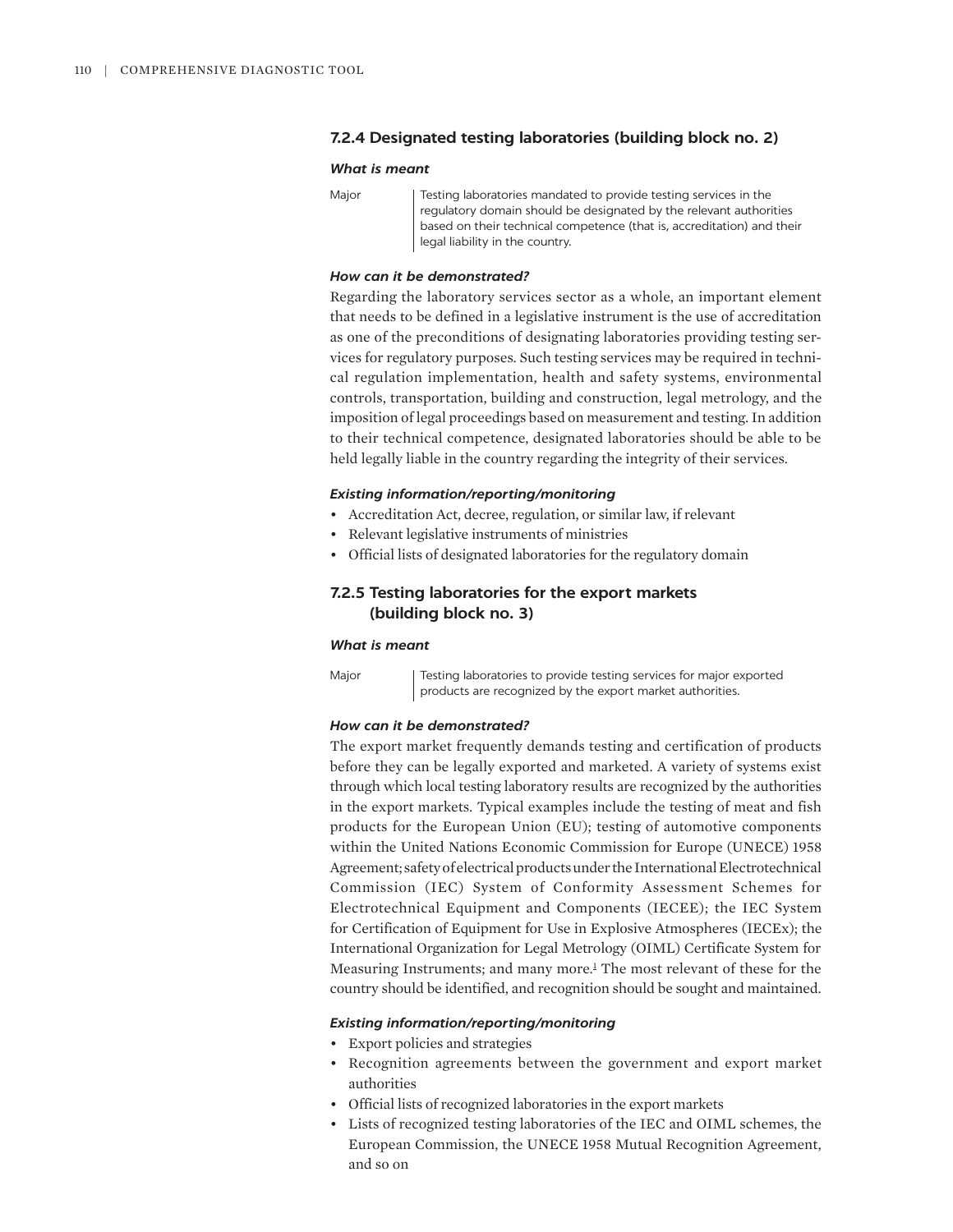## **7.2.4 Designated testing laboratories (building block no. 2)**

#### *What is meant*

Major | Testing laboratories mandated to provide testing services in the regulatory domain should be designated by the relevant authorities based on their technical competence (that is, accreditation) and their legal liability in the country.

## *How can it be demonstrated?*

Regarding the laboratory services sector as a whole, an important element that needs to be defined in a legislative instrument is the use of accreditation as one of the preconditions of designating laboratories providing testing services for regulatory purposes. Such testing services may be required in technical regulation implementation, health and safety systems, environmental controls, transportation, building and construction, legal metrology, and the imposition of legal proceedings based on measurement and testing. In addition to their technical competence, designated laboratories should be able to be held legally liable in the country regarding the integrity of their services.

## *Existing information/reporting/monitoring*

- Accreditation Act, decree, regulation, or similar law, if relevant
- Relevant legislative instruments of ministries
- Official lists of designated laboratories for the regulatory domain

# **7.2.5 Testing laboratories for the export markets (building block no. 3)**

#### *What is meant*

Major | Testing laboratories to provide testing services for major exported products are recognized by the export market authorities.

## *How can it be demonstrated?*

The export market frequently demands testing and certification of products before they can be legally exported and marketed. A variety of systems exist through which local testing laboratory results are recognized by the authorities in the export markets. Typical examples include the testing of meat and fish products for the European Union (EU); testing of automotive components within the United Nations Economic Commission for Europe (UNECE) 1958 Agreement; safety of electrical products under the International Electrotechnical Commission (IEC) System of Conformity Assessment Schemes for Electrotechnical Equipment and Components (IECEE); the IEC System for Certification of Equipment for Use in Explosive Atmospheres (IECEx); the International Organization for Legal Metrology (OIML) Certificate System for Measuring Instruments; and many more.<sup>1</sup> The most relevant of these for the country should be identified, and recognition should be sought and maintained.

#### <span id="page-5-0"></span>*Existing information/reporting/monitoring*

- Export policies and strategies
- Recognition agreements between the government and export market authorities
- Official lists of recognized laboratories in the export markets
- Lists of recognized testing laboratories of the IEC and OIML schemes, the European Commission, the UNECE 1958 Mutual Recognition Agreement, and so on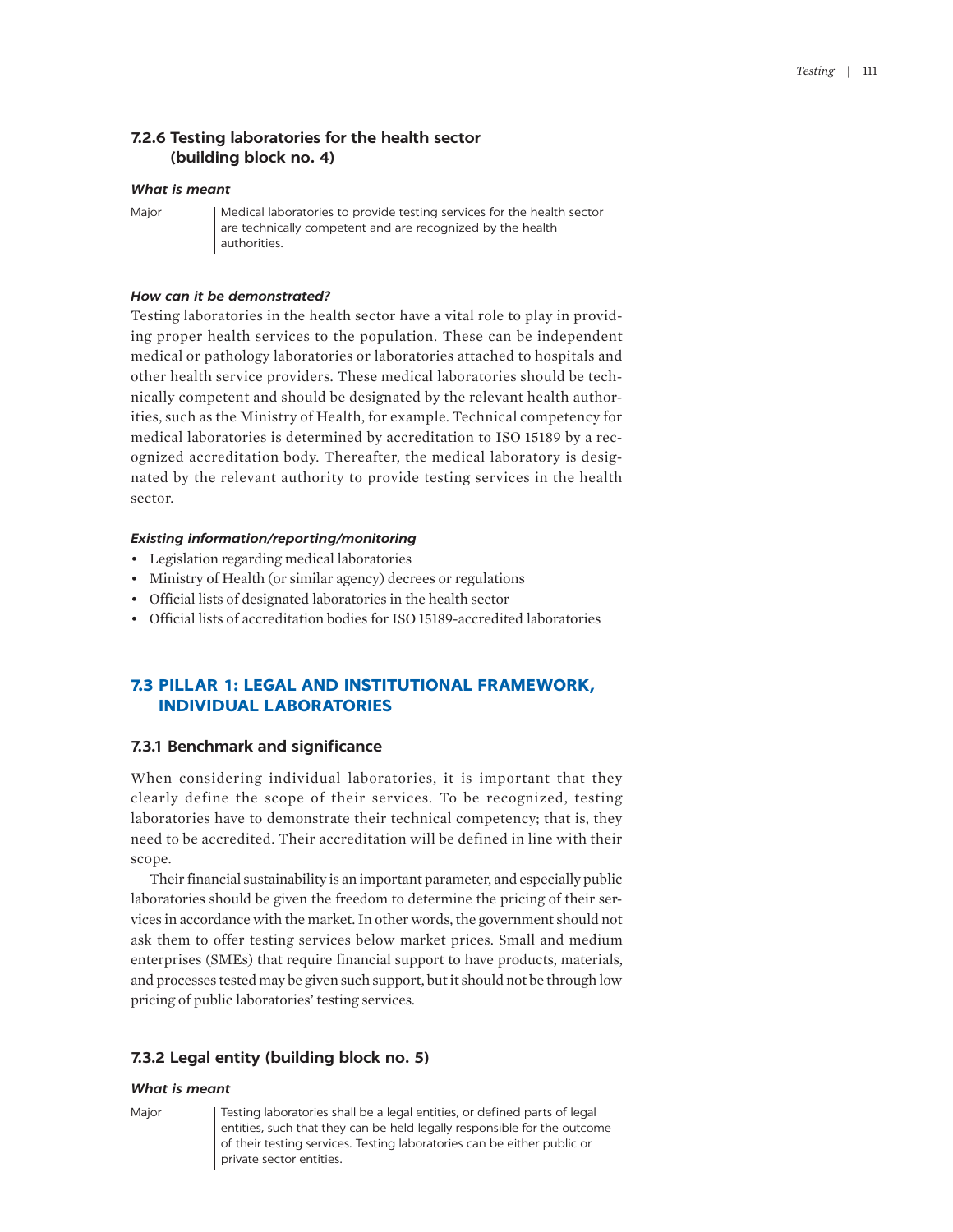## **7.2.6 Testing laboratories for the health sector (building block no. 4)**

## *What is meant*

Major | Medical laboratories to provide testing services for the health sector are technically competent and are recognized by the health authorities.

#### *How can it be demonstrated?*

Testing laboratories in the health sector have a vital role to play in providing proper health services to the population. These can be independent medical or pathology laboratories or laboratories attached to hospitals and other health service providers. These medical laboratories should be technically competent and should be designated by the relevant health authorities, such as the Ministry of Health, for example. Technical competency for medical laboratories is determined by accreditation to ISO 15189 by a recognized accreditation body. Thereafter, the medical laboratory is designated by the relevant authority to provide testing services in the health sector.

#### *Existing information/reporting/monitoring*

- Legislation regarding medical laboratories
- Ministry of Health (or similar agency) decrees or regulations
- Official lists of designated laboratories in the health sector
- Official lists of accreditation bodies for ISO 15189-accredited laboratories

# **7.3 PILLAR 1: LEGAL AND INSTITUTIONAL FRAMEWORK, INDIVIDUAL LABORATORIES**

## **7.3.1 Benchmark and significance**

When considering individual laboratories, it is important that they clearly define the scope of their services. To be recognized, testing laboratories have to demonstrate their technical competency; that is, they need to be accredited. Their accreditation will be defined in line with their scope.

Their financial sustainability is an important parameter, and especially public laboratories should be given the freedom to determine the pricing of their services in accordance with the market. In other words, the government should not ask them to offer testing services below market prices. Small and medium enterprises (SMEs) that require financial support to have products, materials, and processes tested may be given such support, but it should not be through low pricing of public laboratories' testing services.

## **7.3.2 Legal entity (building block no. 5)**

## *What is meant*

Major | Testing laboratories shall be a legal entities, or defined parts of legal entities, such that they can be held legally responsible for the outcome of their testing services. Testing laboratories can be either public or private sector entities.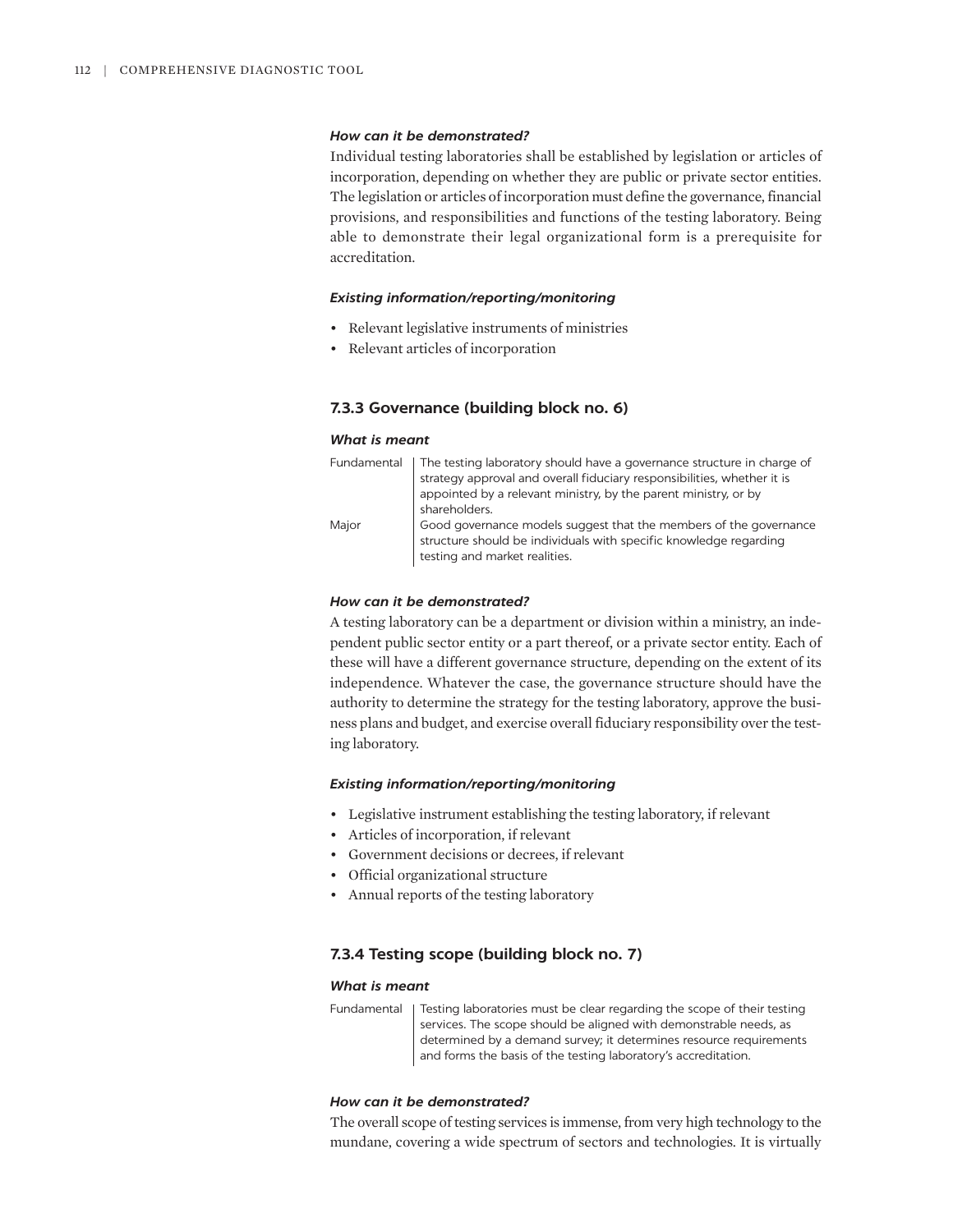#### *How can it be demonstrated?*

Individual testing laboratories shall be established by legislation or articles of incorporation, depending on whether they are public or private sector entities. The legislation or articles of incorporation must define the governance, financial provisions, and responsibilities and functions of the testing laboratory. Being able to demonstrate their legal organizational form is a prerequisite for accreditation.

## *Existing information/reporting/monitoring*

- Relevant legislative instruments of ministries
- Relevant articles of incorporation

## **7.3.3 Governance (building block no. 6)**

#### *What is meant*

|       | Fundamental   The testing laboratory should have a governance structure in charge of |
|-------|--------------------------------------------------------------------------------------|
|       | strategy approval and overall fiduciary responsibilities, whether it is              |
|       | appointed by a relevant ministry, by the parent ministry, or by                      |
|       | shareholders.                                                                        |
| Major | Good governance models suggest that the members of the governance                    |
|       | structure should be individuals with specific knowledge regarding                    |
|       | testing and market realities.                                                        |

## *How can it be demonstrated?*

A testing laboratory can be a department or division within a ministry, an independent public sector entity or a part thereof, or a private sector entity. Each of these will have a different governance structure, depending on the extent of its independence. Whatever the case, the governance structure should have the authority to determine the strategy for the testing laboratory, approve the business plans and budget, and exercise overall fiduciary responsibility over the testing laboratory.

#### *Existing information/reporting/monitoring*

- Legislative instrument establishing the testing laboratory, if relevant
- Articles of incorporation, if relevant
- Government decisions or decrees, if relevant
- Official organizational structure
- Annual reports of the testing laboratory

## **7.3.4 Testing scope (building block no. 7)**

## *What is meant*

Fundamental | Testing laboratories must be clear regarding the scope of their testing services. The scope should be aligned with demonstrable needs, as determined by a demand survey; it determines resource requirements and forms the basis of the testing laboratory's accreditation.

# *How can it be demonstrated?*

The overall scope of testing services is immense, from very high technology to the mundane, covering a wide spectrum of sectors and technologies. It is virtually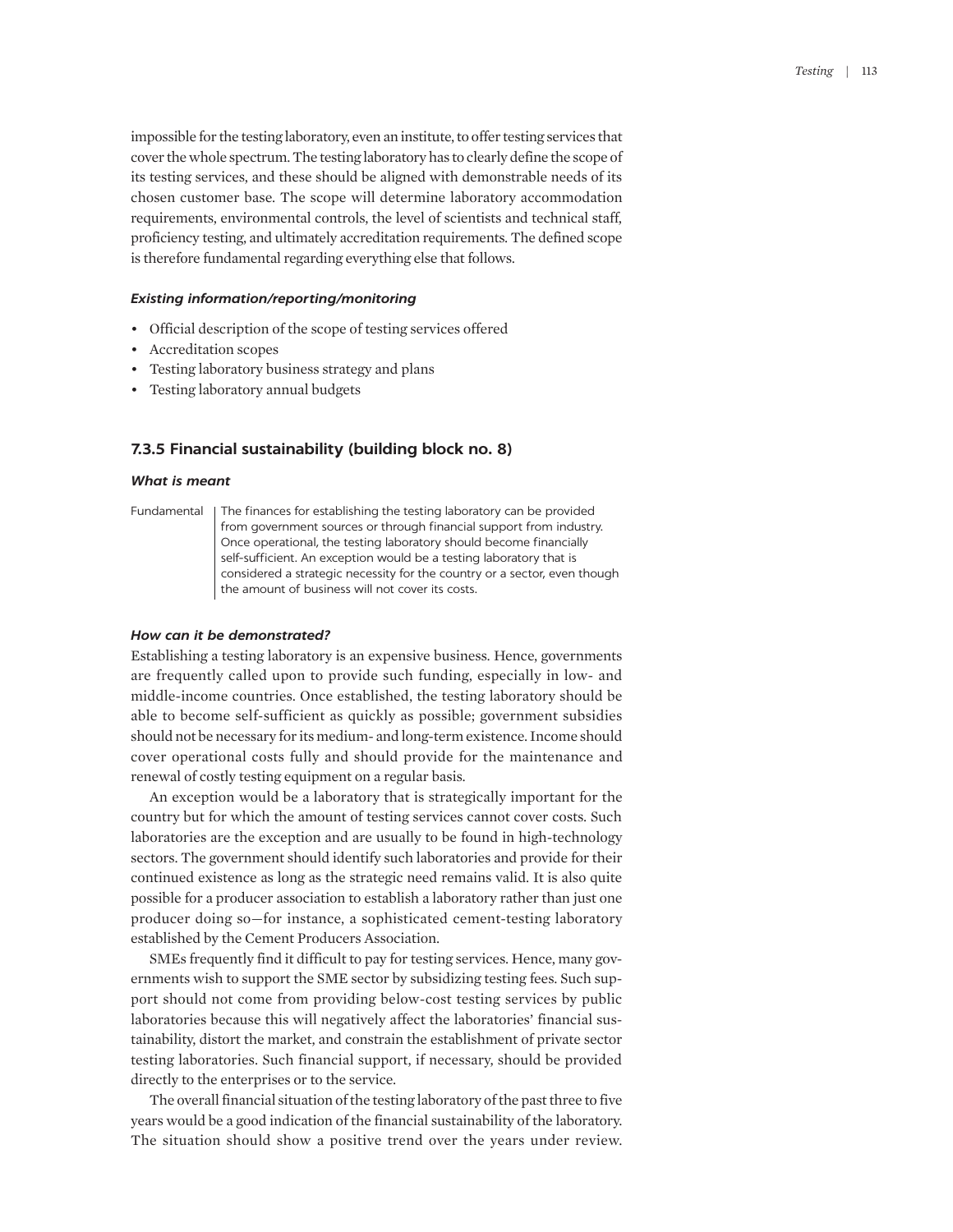impossible for the testing laboratory, even an institute, to offer testing services that cover the whole spectrum. The testing laboratory has to clearly define the scope of its testing services, and these should be aligned with demonstrable needs of its chosen customer base. The scope will determine laboratory accommodation requirements, environmental controls, the level of scientists and technical staff, proficiency testing, and ultimately accreditation requirements. The defined scope is therefore fundamental regarding everything else that follows.

#### *Existing information/reporting/monitoring*

- Official description of the scope of testing services offered
- Accreditation scopes
- Testing laboratory business strategy and plans
- Testing laboratory annual budgets

## **7.3.5 Financial sustainability (building block no. 8)**

#### *What is meant*

Fundamental | The finances for establishing the testing laboratory can be provided from government sources or through financial support from industry. Once operational, the testing laboratory should become financially self-sufficient. An exception would be a testing laboratory that is considered a strategic necessity for the country or a sector, even though the amount of business will not cover its costs.

#### *How can it be demonstrated?*

Establishing a testing laboratory is an expensive business. Hence, governments are frequently called upon to provide such funding, especially in low- and middle-income countries. Once established, the testing laboratory should be able to become self-sufficient as quickly as possible; government subsidies should not be necessary for its medium- and long-term existence. Income should cover operational costs fully and should provide for the maintenance and renewal of costly testing equipment on a regular basis.

An exception would be a laboratory that is strategically important for the country but for which the amount of testing services cannot cover costs. Such laboratories are the exception and are usually to be found in high-technology sectors. The government should identify such laboratories and provide for their continued existence as long as the strategic need remains valid. It is also quite possible for a producer association to establish a laboratory rather than just one producer doing so—for instance, a sophisticated cement-testing laboratory established by the Cement Producers Association.

SMEs frequently find it difficult to pay for testing services. Hence, many governments wish to support the SME sector by subsidizing testing fees. Such support should not come from providing below-cost testing services by public laboratories because this will negatively affect the laboratories' financial sustainability, distort the market, and constrain the establishment of private sector testing laboratories. Such financial support, if necessary, should be provided directly to the enterprises or to the service.

The overall financial situation of the testing laboratory of the past three to five years would be a good indication of the financial sustainability of the laboratory. The situation should show a positive trend over the years under review.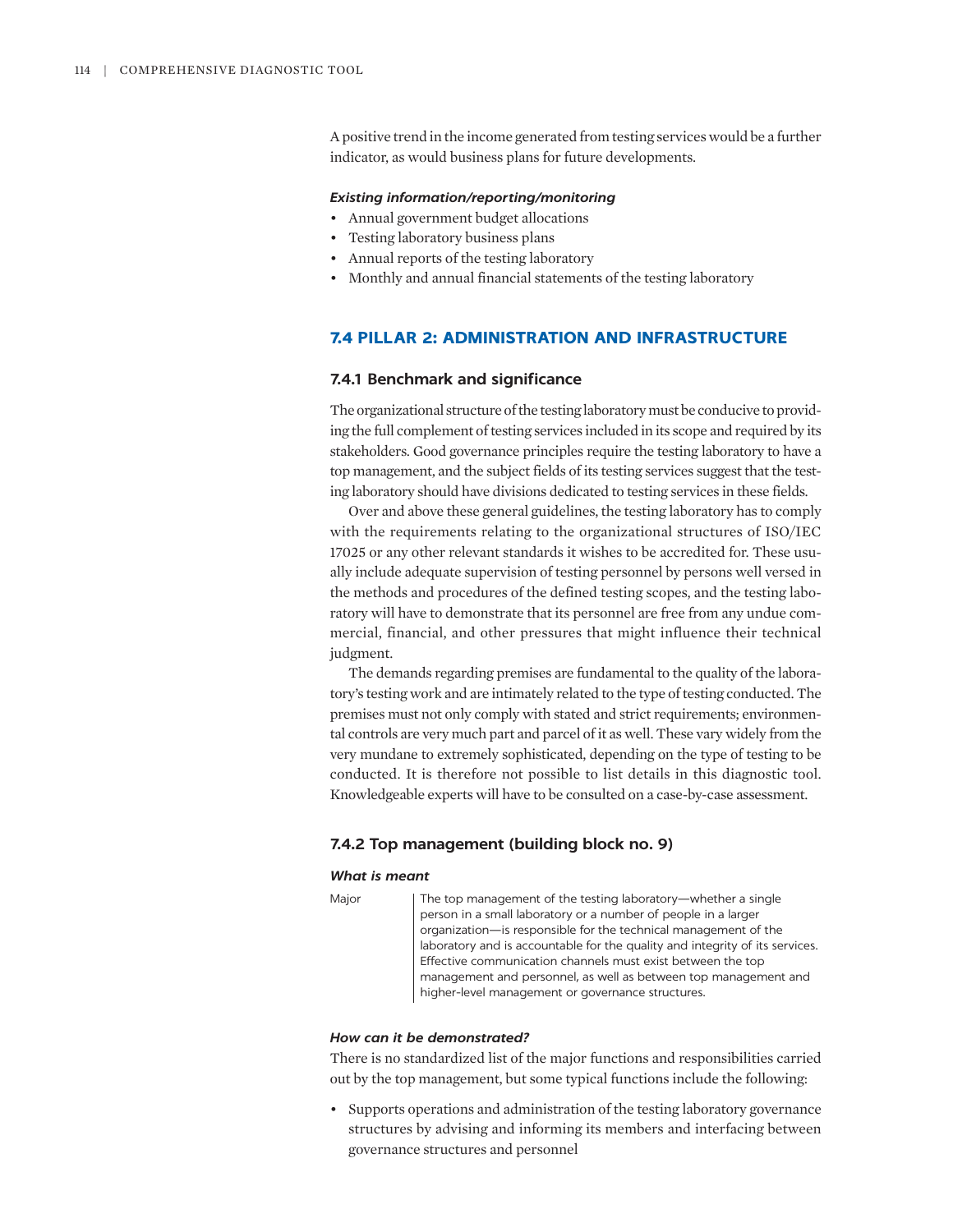A positive trend in the income generated from testing services would be a further indicator, as would business plans for future developments.

### *Existing information/reporting/monitoring*

- Annual government budget allocations
- Testing laboratory business plans
- Annual reports of the testing laboratory
- Monthly and annual financial statements of the testing laboratory

# **7.4 PILLAR 2: ADMINISTRATION AND INFRASTRUCTURE**

#### **7.4.1 Benchmark and significance**

The organizational structure of the testing laboratory must be conducive to providing the full complement of testing services included in its scope and required by its stakeholders. Good governance principles require the testing laboratory to have a top management, and the subject fields of its testing services suggest that the testing laboratory should have divisions dedicated to testing services in these fields.

Over and above these general guidelines, the testing laboratory has to comply with the requirements relating to the organizational structures of ISO/IEC 17025 or any other relevant standards it wishes to be accredited for. These usually include adequate supervision of testing personnel by persons well versed in the methods and procedures of the defined testing scopes, and the testing laboratory will have to demonstrate that its personnel are free from any undue commercial, financial, and other pressures that might influence their technical judgment.

The demands regarding premises are fundamental to the quality of the laboratory's testing work and are intimately related to the type of testing conducted. The premises must not only comply with stated and strict requirements; environmental controls are very much part and parcel of it as well. These vary widely from the very mundane to extremely sophisticated, depending on the type of testing to be conducted. It is therefore not possible to list details in this diagnostic tool. Knowledgeable experts will have to be consulted on a case-by-case assessment.

## **7.4.2 Top management (building block no. 9)**

#### *What is meant*

```
Major | The top management of the testing laboratory—whether a single
   person in a small laboratory or a number of people in a larger 
   organization—is responsible for the technical management of the 
   laboratory and is accountable for the quality and integrity of its services. 
   Effective communication channels must exist between the top 
   management and personnel, as well as between top management and 
   higher-level management or governance structures.
```
## *How can it be demonstrated?*

There is no standardized list of the major functions and responsibilities carried out by the top management, but some typical functions include the following:

• Supports operations and administration of the testing laboratory governance structures by advising and informing its members and interfacing between governance structures and personnel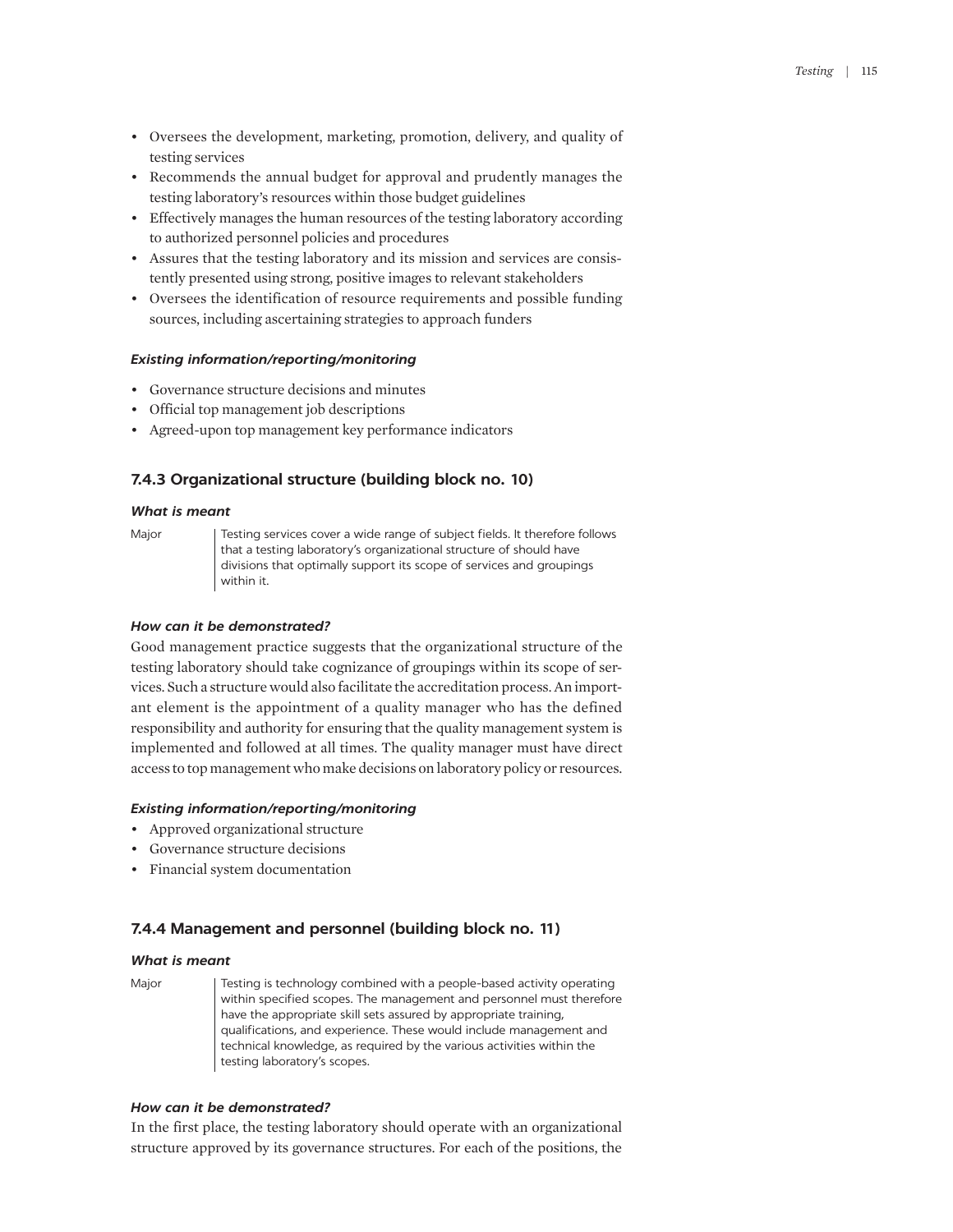- Oversees the development, marketing, promotion, delivery, and quality of testing services
- Recommends the annual budget for approval and prudently manages the testing laboratory's resources within those budget guidelines
- Effectively manages the human resources of the testing laboratory according to authorized personnel policies and procedures
- Assures that the testing laboratory and its mission and services are consistently presented using strong, positive images to relevant stakeholders
- Oversees the identification of resource requirements and possible funding sources, including ascertaining strategies to approach funders

## *Existing information/reporting/monitoring*

- Governance structure decisions and minutes
- Official top management job descriptions
- Agreed-upon top management key performance indicators

## **7.4.3 Organizational structure (building block no. 10)**

### *What is meant*

Major Testing services cover a wide range of subject fields. It therefore follows that a testing laboratory's organizational structure of should have divisions that optimally support its scope of services and groupings within it.

## *How can it be demonstrated?*

Good management practice suggests that the organizational structure of the testing laboratory should take cognizance of groupings within its scope of services. Such a structure would also facilitate the accreditation process. An important element is the appointment of a quality manager who has the defined responsibility and authority for ensuring that the quality management system is implemented and followed at all times. The quality manager must have direct access to top management who make decisions on laboratory policy or resources.

#### *Existing information/reporting/monitoring*

- Approved organizational structure
- Governance structure decisions
- Financial system documentation

## **7.4.4 Management and personnel (building block no. 11)**

#### *What is meant*

Major **Testing is technology combined with a people-based activity operating** within specified scopes. The management and personnel must therefore have the appropriate skill sets assured by appropriate training, qualifications, and experience. These would include management and technical knowledge, as required by the various activities within the testing laboratory's scopes.

## *How can it be demonstrated?*

In the first place, the testing laboratory should operate with an organizational structure approved by its governance structures. For each of the positions, the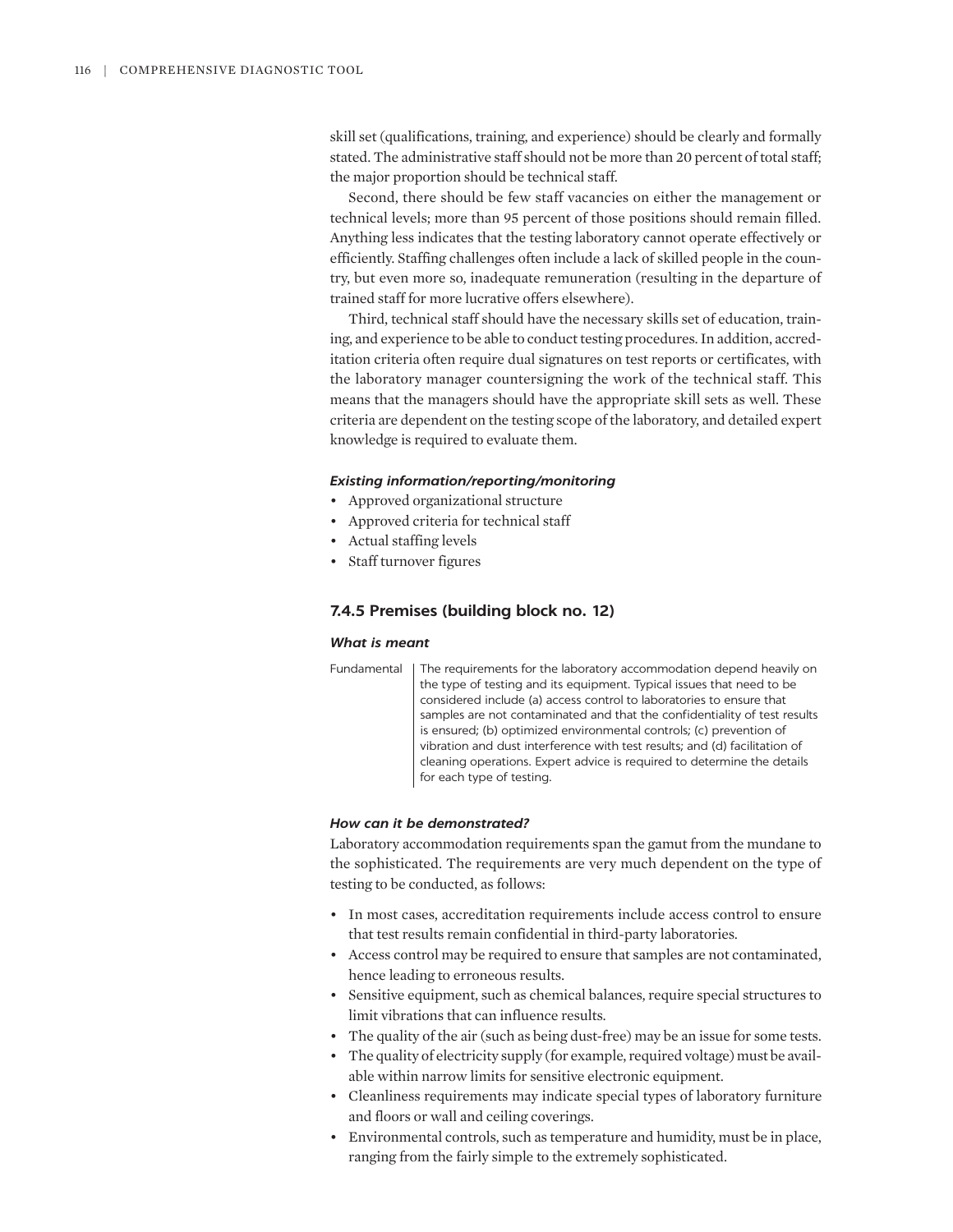skill set (qualifications, training, and experience) should be clearly and formally stated. The administrative staff should not be more than 20 percent of total staff; the major proportion should be technical staff.

Second, there should be few staff vacancies on either the management or technical levels; more than 95 percent of those positions should remain filled. Anything less indicates that the testing laboratory cannot operate effectively or efficiently. Staffing challenges often include a lack of skilled people in the country, but even more so, inadequate remuneration (resulting in the departure of trained staff for more lucrative offers elsewhere).

Third, technical staff should have the necessary skills set of education, training, and experience to be able to conduct testing procedures. In addition, accreditation criteria often require dual signatures on test reports or certificates, with the laboratory manager countersigning the work of the technical staff. This means that the managers should have the appropriate skill sets as well. These criteria are dependent on the testing scope of the laboratory, and detailed expert knowledge is required to evaluate them.

## *Existing information/reporting/monitoring*

- Approved organizational structure
- Approved criteria for technical staff
- Actual staffing levels
- Staff turnover figures

## **7.4.5 Premises (building block no. 12)**

## *What is meant*

Fundamental | The requirements for the laboratory accommodation depend heavily on the type of testing and its equipment. Typical issues that need to be considered include (a) access control to laboratories to ensure that samples are not contaminated and that the confidentiality of test results is ensured; (b) optimized environmental controls; (c) prevention of vibration and dust interference with test results; and (d) facilitation of cleaning operations. Expert advice is required to determine the details for each type of testing.

## *How can it be demonstrated?*

Laboratory accommodation requirements span the gamut from the mundane to the sophisticated. The requirements are very much dependent on the type of testing to be conducted, as follows:

- In most cases, accreditation requirements include access control to ensure that test results remain confidential in third-party laboratories.
- Access control may be required to ensure that samples are not contaminated, hence leading to erroneous results.
- Sensitive equipment, such as chemical balances, require special structures to limit vibrations that can influence results.
- The quality of the air (such as being dust-free) may be an issue for some tests.
- The quality of electricity supply (for example, required voltage) must be available within narrow limits for sensitive electronic equipment.
- Cleanliness requirements may indicate special types of laboratory furniture and floors or wall and ceiling coverings.
- Environmental controls, such as temperature and humidity, must be in place, ranging from the fairly simple to the extremely sophisticated.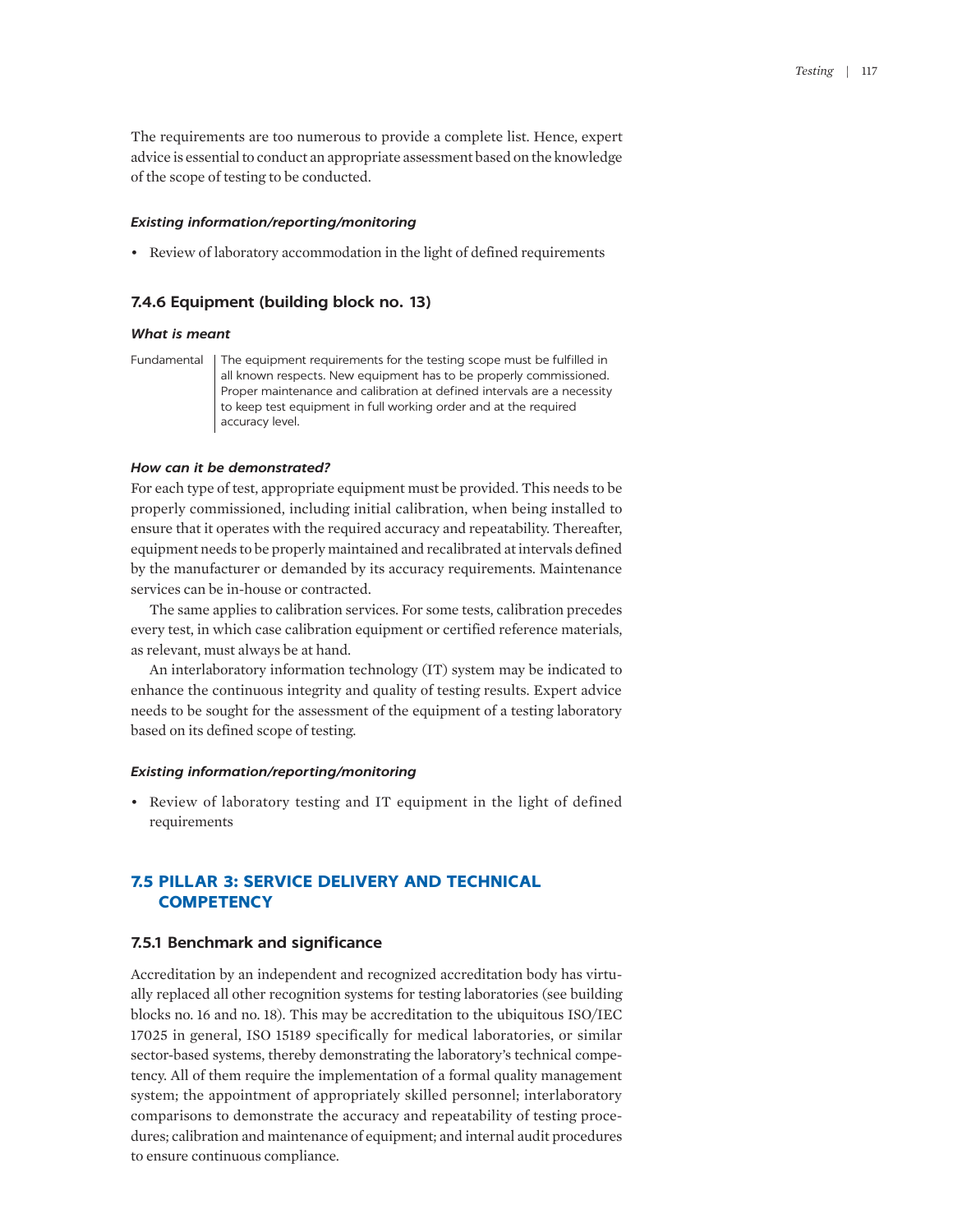The requirements are too numerous to provide a complete list. Hence, expert advice is essential to conduct an appropriate assessment based on the knowledge of the scope of testing to be conducted.

## *Existing information/reporting/monitoring*

• Review of laboratory accommodation in the light of defined requirements

## **7.4.6 Equipment (building block no. 13)**

## *What is meant*

Fundamental | The equipment requirements for the testing scope must be fulfilled in all known respects. New equipment has to be properly commissioned. Proper maintenance and calibration at defined intervals are a necessity to keep test equipment in full working order and at the required accuracy level.

#### *How can it be demonstrated?*

For each type of test, appropriate equipment must be provided. This needs to be properly commissioned, including initial calibration, when being installed to ensure that it operates with the required accuracy and repeatability. Thereafter, equipment needs to be properly maintained and recalibrated at intervals defined by the manufacturer or demanded by its accuracy requirements. Maintenance services can be in-house or contracted.

The same applies to calibration services. For some tests, calibration precedes every test, in which case calibration equipment or certified reference materials, as relevant, must always be at hand.

An interlaboratory information technology (IT) system may be indicated to enhance the continuous integrity and quality of testing results. Expert advice needs to be sought for the assessment of the equipment of a testing laboratory based on its defined scope of testing.

#### *Existing information/reporting/monitoring*

• Review of laboratory testing and IT equipment in the light of defined requirements

# **7.5 PILLAR 3: SERVICE DELIVERY AND TECHNICAL COMPETENCY**

#### **7.5.1 Benchmark and significance**

Accreditation by an independent and recognized accreditation body has virtually replaced all other recognition systems for testing laboratories (see building blocks no. 16 and no. 18). This may be accreditation to the ubiquitous ISO/IEC 17025 in general, ISO 15189 specifically for medical laboratories, or similar sector-based systems, thereby demonstrating the laboratory's technical competency. All of them require the implementation of a formal quality management system; the appointment of appropriately skilled personnel; interlaboratory comparisons to demonstrate the accuracy and repeatability of testing procedures; calibration and maintenance of equipment; and internal audit procedures to ensure continuous compliance.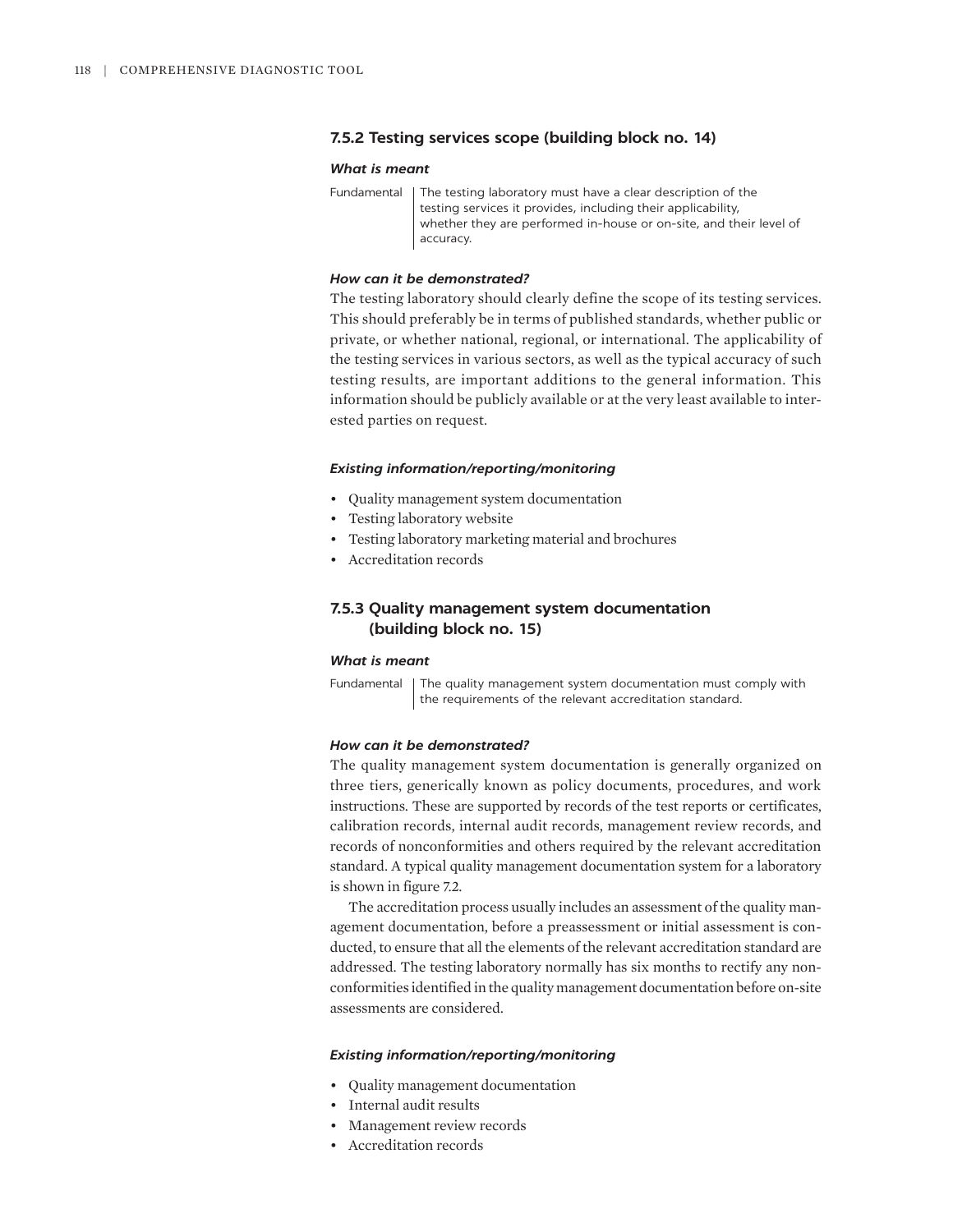## **7.5.2 Testing services scope (building block no. 14)**

#### *What is meant*

Fundamental The testing laboratory must have a clear description of the testing services it provides, including their applicability, whether they are performed in-house or on-site, and their level of accuracy.

## *How can it be demonstrated?*

The testing laboratory should clearly define the scope of its testing services. This should preferably be in terms of published standards, whether public or private, or whether national, regional, or international. The applicability of the testing services in various sectors, as well as the typical accuracy of such testing results, are important additions to the general information. This information should be publicly available or at the very least available to interested parties on request.

#### *Existing information/reporting/monitoring*

- Quality management system documentation
- Testing laboratory website
- Testing laboratory marketing material and brochures
- Accreditation records

# **7.5.3 Quality management system documentation (building block no. 15)**

#### *What is meant*

Fundamental | The quality management system documentation must comply with the requirements of the relevant accreditation standard.

## *How can it be demonstrated?*

The quality management system documentation is generally organized on three tiers, generically known as policy documents, procedures, and work instructions. These are supported by records of the test reports or certificates, calibration records, internal audit records, management review records, and records of nonconformities and others required by the relevant accreditation standard. A typical quality management documentation system for a laboratory is shown in figure 7.2.

The accreditation process usually includes an assessment of the quality management documentation, before a preassessment or initial assessment is conducted, to ensure that all the elements of the relevant accreditation standard are addressed. The testing laboratory normally has six months to rectify any nonconformities identified in the quality management documentation before on-site assessments are considered.

#### *Existing information/reporting/monitoring*

- Quality management documentation
- Internal audit results
- Management review records
- Accreditation records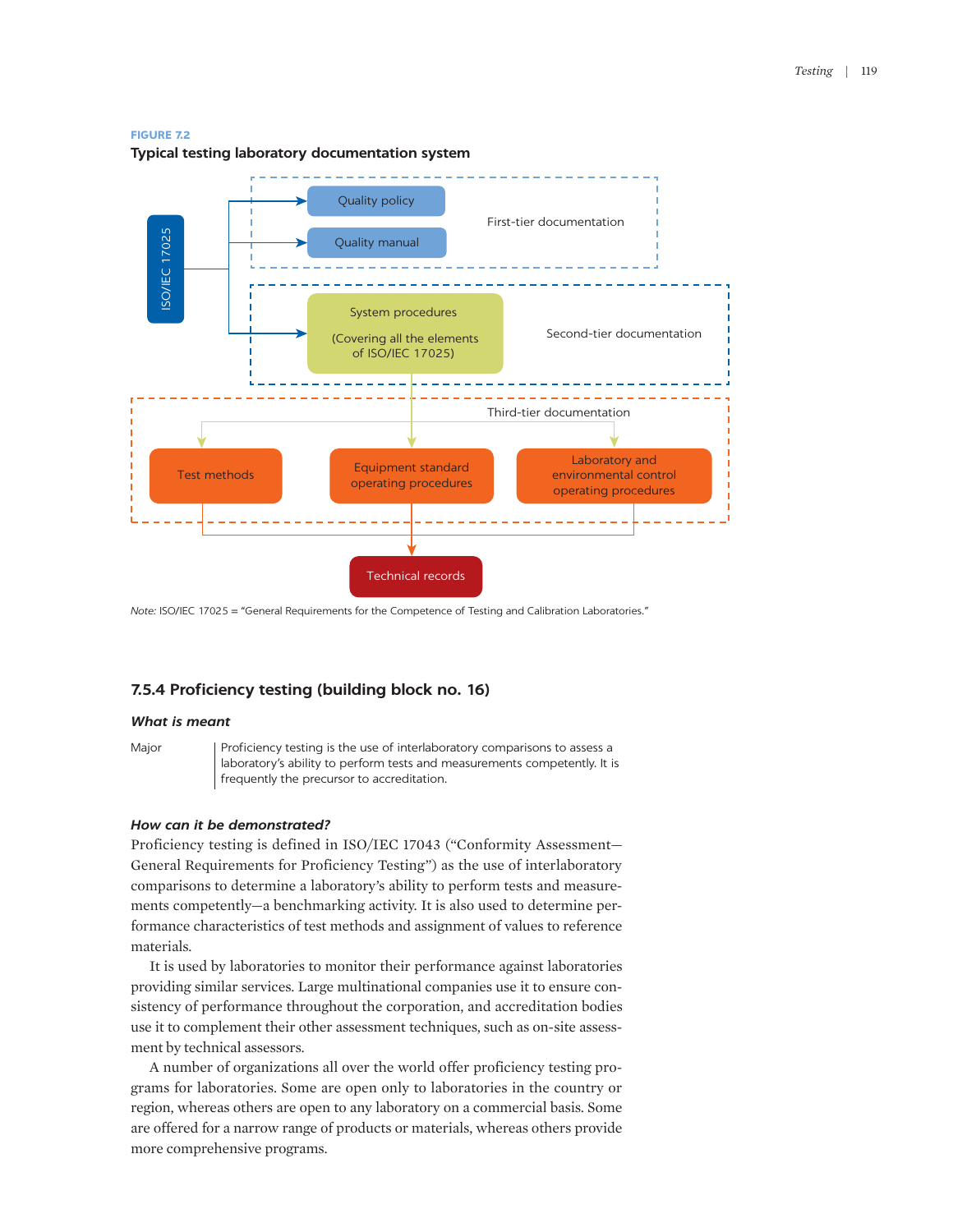#### **FIGURE 7.2**



**Typical testing laboratory documentation system**

*Note:* ISO/IEC 17025 = "General Requirements for the Competence of Testing and Calibration Laboratories."

## **7.5.4 Proficiency testing (building block no. 16)**

#### *What is meant*

Major | Proficiency testing is the use of interlaboratory comparisons to assess a laboratory's ability to perform tests and measurements competently. It is frequently the precursor to accreditation.

#### *How can it be demonstrated?*

Proficiency testing is defined in ISO/IEC 17043 ("Conformity Assessment— General Requirements for Proficiency Testing") as the use of interlaboratory comparisons to determine a laboratory's ability to perform tests and measurements competently—a benchmarking activity. It is also used to determine performance characteristics of test methods and assignment of values to reference materials.

It is used by laboratories to monitor their performance against laboratories providing similar services. Large multinational companies use it to ensure consistency of performance throughout the corporation, and accreditation bodies use it to complement their other assessment techniques, such as on-site assessment by technical assessors.

A number of organizations all over the world offer proficiency testing programs for laboratories. Some are open only to laboratories in the country or region, whereas others are open to any laboratory on a commercial basis. Some are offered for a narrow range of products or materials, whereas others provide more comprehensive programs.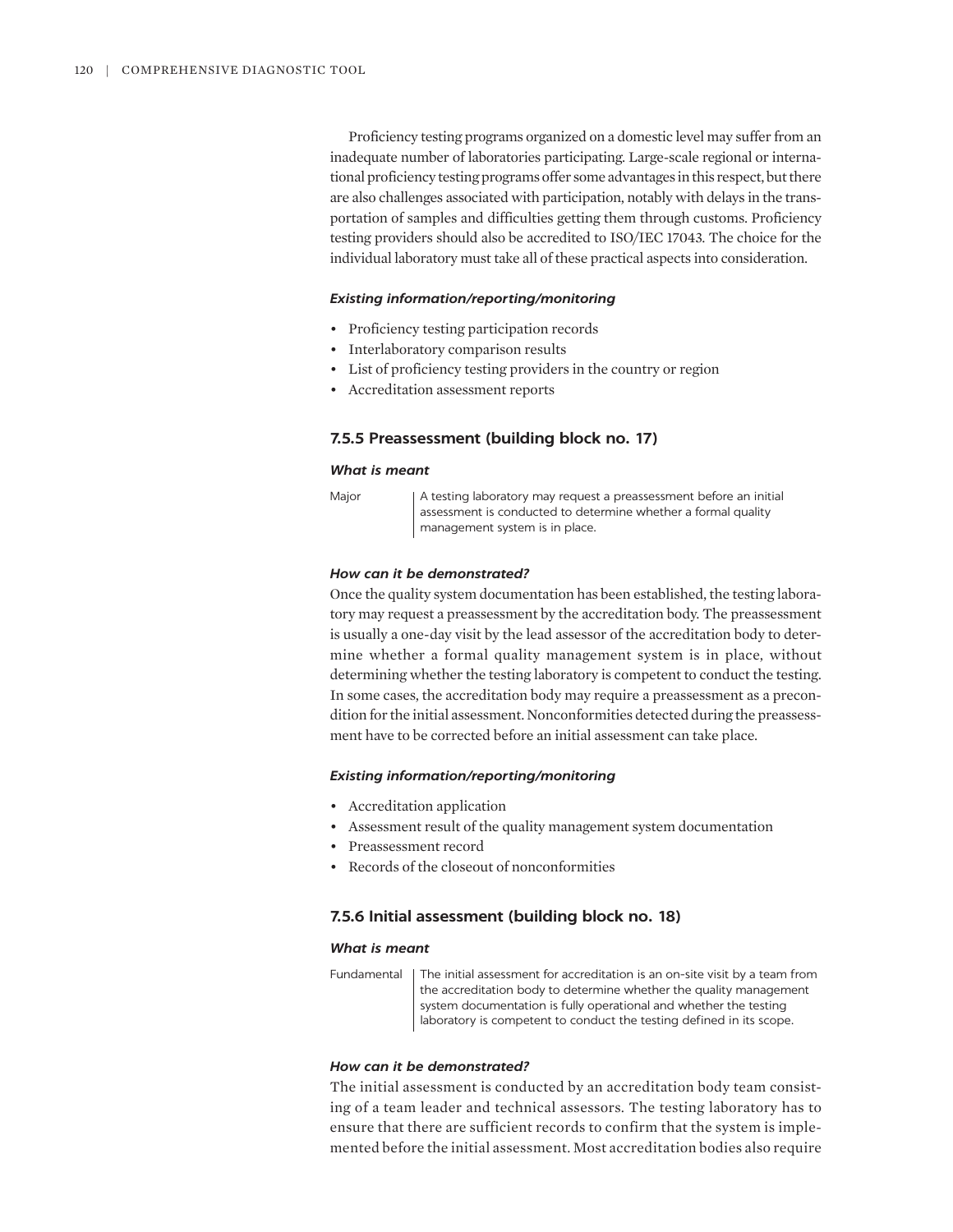Proficiency testing programs organized on a domestic level may suffer from an inadequate number of laboratories participating. Large-scale regional or international proficiency testing programs offer some advantages in this respect, but there are also challenges associated with participation, notably with delays in the transportation of samples and difficulties getting them through customs. Proficiency testing providers should also be accredited to ISO/IEC 17043. The choice for the individual laboratory must take all of these practical aspects into consideration.

#### *Existing information/reporting/monitoring*

- Proficiency testing participation records
- Interlaboratory comparison results
- List of proficiency testing providers in the country or region
- Accreditation assessment reports

#### **7.5.5 Preassessment (building block no. 17)**

#### *What is meant*

Major | A testing laboratory may request a preassessment before an initial assessment is conducted to determine whether a formal quality management system is in place.

## *How can it be demonstrated?*

Once the quality system documentation has been established, the testing laboratory may request a preassessment by the accreditation body. The preassessment is usually a one-day visit by the lead assessor of the accreditation body to determine whether a formal quality management system is in place, without determining whether the testing laboratory is competent to conduct the testing. In some cases, the accreditation body may require a preassessment as a precondition for the initial assessment. Nonconformities detected during the preassessment have to be corrected before an initial assessment can take place.

#### *Existing information/reporting/monitoring*

- Accreditation application
- Assessment result of the quality management system documentation
- Preassessment record
- Records of the closeout of nonconformities

## **7.5.6 Initial assessment (building block no. 18)**

## *What is meant*

Fundamental | The initial assessment for accreditation is an on-site visit by a team from the accreditation body to determine whether the quality management system documentation is fully operational and whether the testing laboratory is competent to conduct the testing defined in its scope.

#### *How can it be demonstrated?*

The initial assessment is conducted by an accreditation body team consisting of a team leader and technical assessors. The testing laboratory has to ensure that there are sufficient records to confirm that the system is implemented before the initial assessment. Most accreditation bodies also require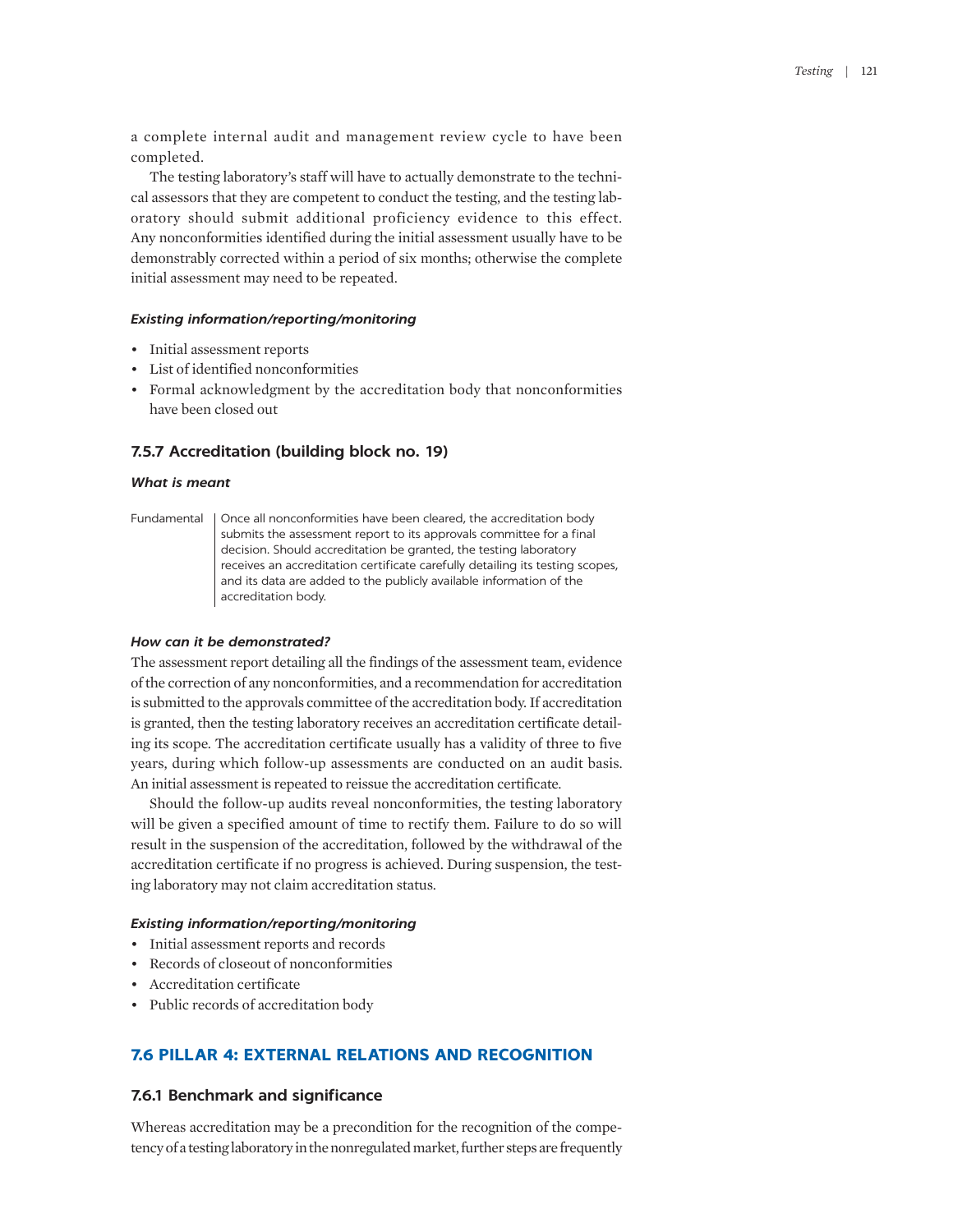a complete internal audit and management review cycle to have been completed.

The testing laboratory's staff will have to actually demonstrate to the technical assessors that they are competent to conduct the testing, and the testing laboratory should submit additional proficiency evidence to this effect. Any nonconformities identified during the initial assessment usually have to be demonstrably corrected within a period of six months; otherwise the complete initial assessment may need to be repeated.

#### *Existing information/reporting/monitoring*

- Initial assessment reports
- List of identified nonconformities
- Formal acknowledgment by the accreditation body that nonconformities have been closed out

## **7.5.7 Accreditation (building block no. 19)**

## *What is meant*

Fundamental | Once all nonconformities have been cleared, the accreditation body submits the assessment report to its approvals committee for a final decision. Should accreditation be granted, the testing laboratory receives an accreditation certificate carefully detailing its testing scopes, and its data are added to the publicly available information of the accreditation body.

## *How can it be demonstrated?*

The assessment report detailing all the findings of the assessment team, evidence of the correction of any nonconformities, and a recommendation for accreditation is submitted to the approvals committee of the accreditation body. If accreditation is granted, then the testing laboratory receives an accreditation certificate detailing its scope. The accreditation certificate usually has a validity of three to five years, during which follow-up assessments are conducted on an audit basis. An initial assessment is repeated to reissue the accreditation certificate.

Should the follow-up audits reveal nonconformities, the testing laboratory will be given a specified amount of time to rectify them. Failure to do so will result in the suspension of the accreditation, followed by the withdrawal of the accreditation certificate if no progress is achieved. During suspension, the testing laboratory may not claim accreditation status.

## *Existing information/reporting/monitoring*

- Initial assessment reports and records
- Records of closeout of nonconformities
- Accreditation certificate
- Public records of accreditation body

# **7.6 PILLAR 4: EXTERNAL RELATIONS AND RECOGNITION**

## **7.6.1 Benchmark and significance**

Whereas accreditation may be a precondition for the recognition of the competency of a testing laboratory in the nonregulated market, further steps are frequently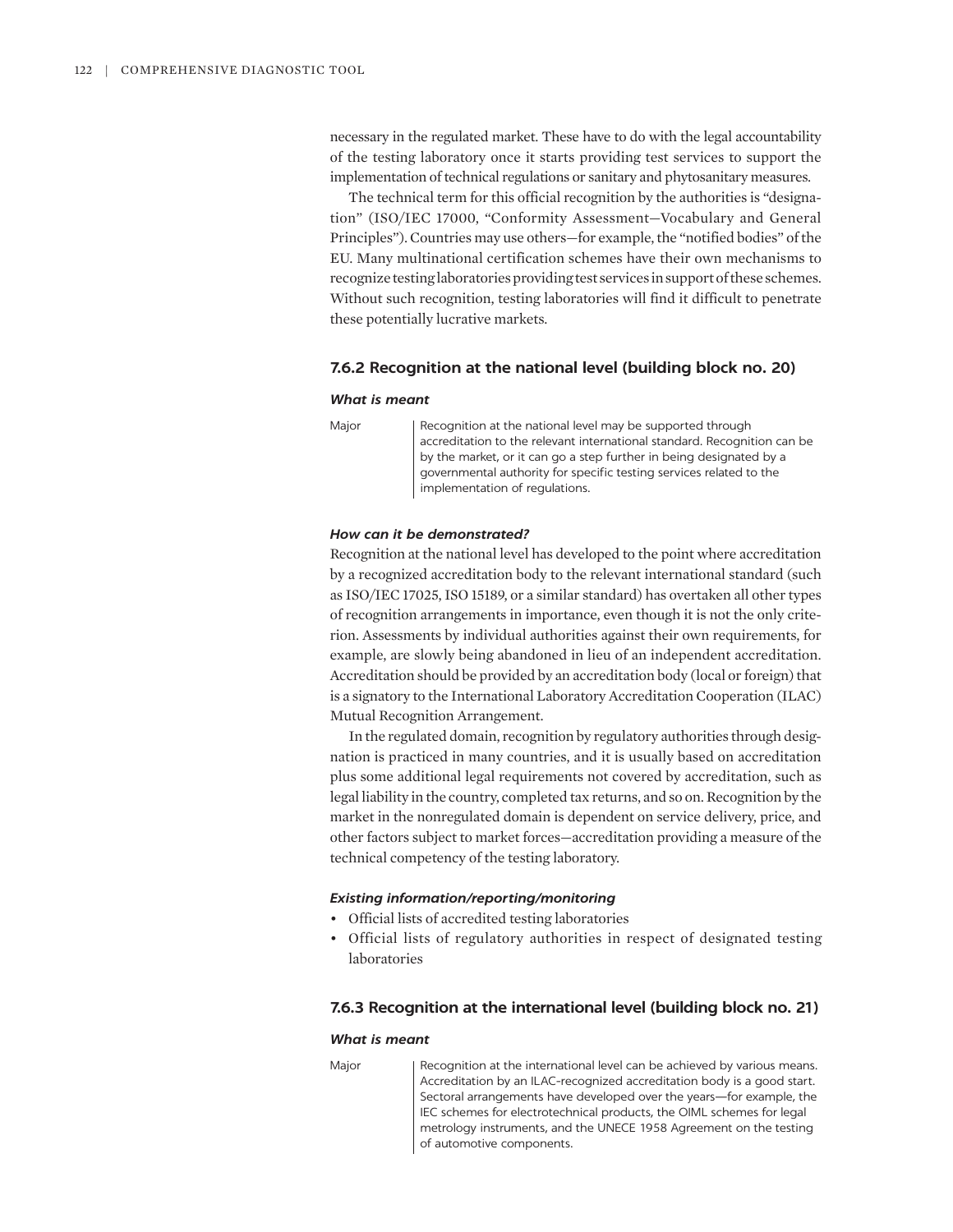necessary in the regulated market. These have to do with the legal accountability of the testing laboratory once it starts providing test services to support the implementation of technical regulations or sanitary and phytosanitary measures.

The technical term for this official recognition by the authorities is "designation" (ISO/IEC 17000, "Conformity Assessment—Vocabulary and General Principles"). Countries may use others—for example, the "notified bodies" of the EU. Many multinational certification schemes have their own mechanisms to recognize testing laboratories providing test services in support of these schemes. Without such recognition, testing laboratories will find it difficult to penetrate these potentially lucrative markets.

#### **7.6.2 Recognition at the national level (building block no. 20)**

#### *What is meant*

Major | Recognition at the national level may be supported through accreditation to the relevant international standard. Recognition can be by the market, or it can go a step further in being designated by a governmental authority for specific testing services related to the implementation of regulations.

#### *How can it be demonstrated?*

Recognition at the national level has developed to the point where accreditation by a recognized accreditation body to the relevant international standard (such as ISO/IEC 17025, ISO 15189, or a similar standard) has overtaken all other types of recognition arrangements in importance, even though it is not the only criterion. Assessments by individual authorities against their own requirements, for example, are slowly being abandoned in lieu of an independent accreditation. Accreditation should be provided by an accreditation body (local or foreign) that is a signatory to the International Laboratory Accreditation Cooperation (ILAC) Mutual Recognition Arrangement.

In the regulated domain, recognition by regulatory authorities through designation is practiced in many countries, and it is usually based on accreditation plus some additional legal requirements not covered by accreditation, such as legal liability in the country, completed tax returns, and so on. Recognition by the market in the nonregulated domain is dependent on service delivery, price, and other factors subject to market forces—accreditation providing a measure of the technical competency of the testing laboratory.

## *Existing information/reporting/monitoring*

- Official lists of accredited testing laboratories
- Official lists of regulatory authorities in respect of designated testing laboratories

#### **7.6.3 Recognition at the international level (building block no. 21)**

#### *What is meant*

Major **Recognition at the international level can be achieved by various means.** Accreditation by an ILAC-recognized accreditation body is a good start. Sectoral arrangements have developed over the years—for example, the IEC schemes for electrotechnical products, the OIML schemes for legal metrology instruments, and the UNECE 1958 Agreement on the testing of automotive components.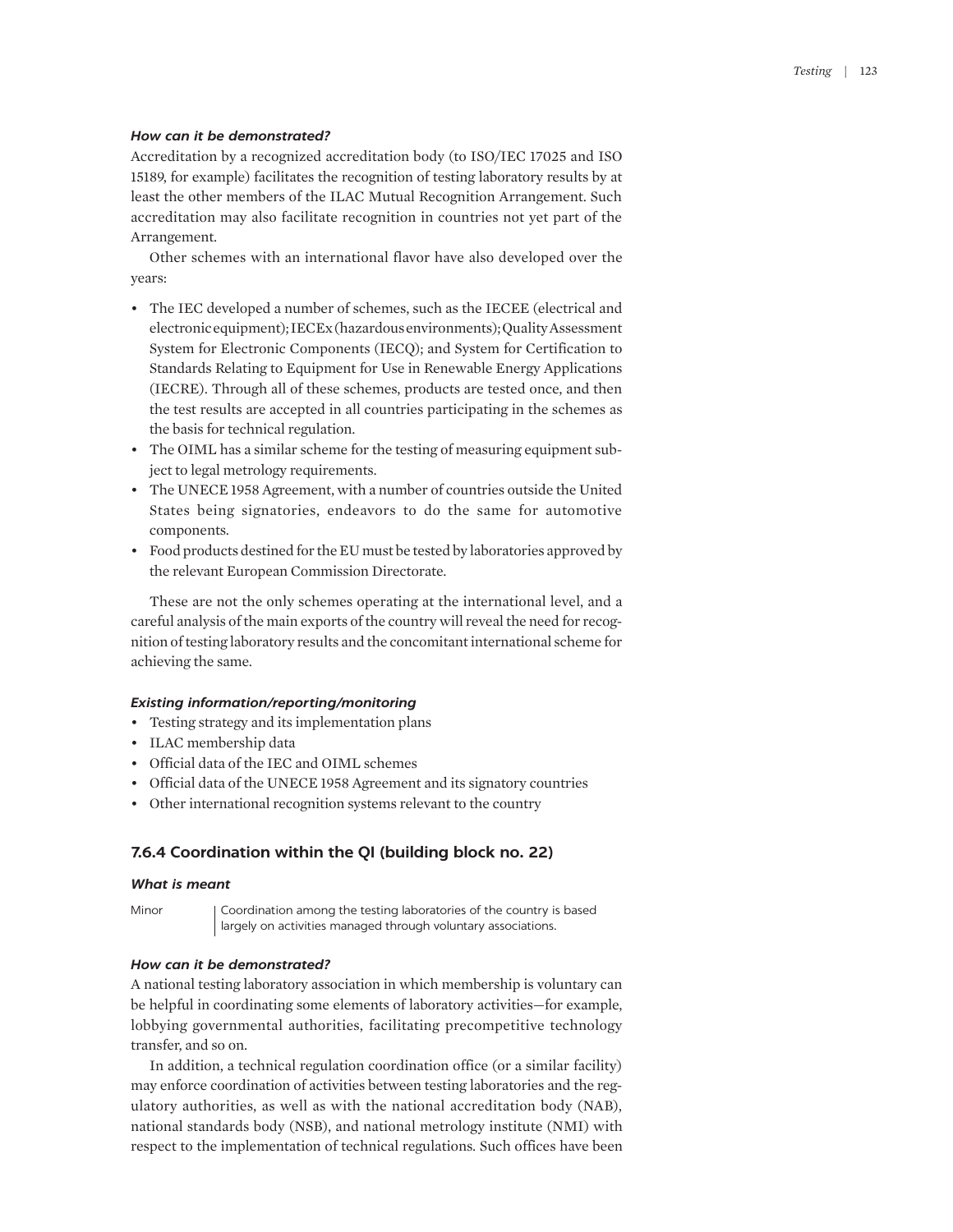#### *How can it be demonstrated?*

Accreditation by a recognized accreditation body (to ISO/IEC 17025 and ISO 15189, for example) facilitates the recognition of testing laboratory results by at least the other members of the ILAC Mutual Recognition Arrangement. Such accreditation may also facilitate recognition in countries not yet part of the Arrangement.

Other schemes with an international flavor have also developed over the years:

- The IEC developed a number of schemes, such as the IECEE (electrical and electronic equipment); IECEx (hazardous environments); Quality Assessment System for Electronic Components (IECQ); and System for Certification to Standards Relating to Equipment for Use in Renewable Energy Applications (IECRE). Through all of these schemes, products are tested once, and then the test results are accepted in all countries participating in the schemes as the basis for technical regulation.
- The OIML has a similar scheme for the testing of measuring equipment subject to legal metrology requirements.
- The UNECE 1958 Agreement, with a number of countries outside the United States being signatories, endeavors to do the same for automotive components.
- Food products destined for the EU must be tested by laboratories approved by the relevant European Commission Directorate.

These are not the only schemes operating at the international level, and a careful analysis of the main exports of the country will reveal the need for recognition of testing laboratory results and the concomitant international scheme for achieving the same.

## *Existing information/reporting/monitoring*

- Testing strategy and its implementation plans
- ILAC membership data
- Official data of the IEC and OIML schemes
- Official data of the UNECE 1958 Agreement and its signatory countries
- Other international recognition systems relevant to the country

## **7.6.4 Coordination within the QI (building block no. 22)**

#### *What is meant*

Minor | Coordination among the testing laboratories of the country is based largely on activities managed through voluntary associations.

## *How can it be demonstrated?*

A national testing laboratory association in which membership is voluntary can be helpful in coordinating some elements of laboratory activities—for example, lobbying governmental authorities, facilitating precompetitive technology transfer, and so on.

In addition, a technical regulation coordination office (or a similar facility) may enforce coordination of activities between testing laboratories and the regulatory authorities, as well as with the national accreditation body (NAB), national standards body (NSB), and national metrology institute (NMI) with respect to the implementation of technical regulations. Such offices have been